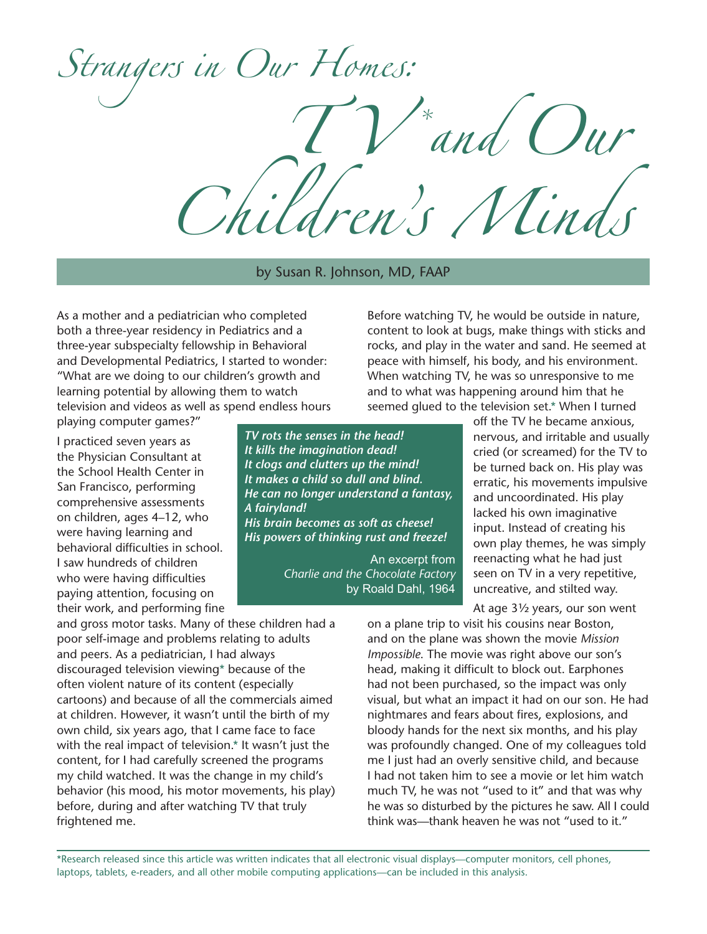Strangers in Our Homes:<br>TV\*and T V \* and Our Children's Ninds

by Susan R. Johnson, MD, FAAP

As a mother and a pediatrician who completed both a three-year residency in Pediatrics and a three-year subspecialty fellowship in Behavioral and Developmental Pediatrics, I started to wonder: "What are we doing to our children's growth and learning potential by allowing them to watch television and videos as well as spend endless hours

playing computer games?"

I practiced seven years as the Physician Consultant at the School Health Center in San Francisco, performing comprehensive assessments on children, ages 4–12, who were having learning and behavioral difficulties in school. I saw hundreds of children who were having difficulties paying attention, focusing on their work, and performing fine

and gross motor tasks. Many of these children had a poor self-image and problems relating to adults and peers. As a pediatrician, I had always discouraged television viewing\* because of the often violent nature of its content (especially cartoons) and because of all the commercials aimed at children. However, it wasn't until the birth of my own child, six years ago, that I came face to face with the real impact of television.\* It wasn't just the content, for I had carefully screened the programs my child watched. It was the change in my child's behavior (his mood, his motor movements, his play) before, during and after watching TV that truly frightened me.

Before watching TV, he would be outside in nature, content to look at bugs, make things with sticks and rocks, and play in the water and sand. He seemed at peace with himself, his body, and his environment. When watching TV, he was so unresponsive to me and to what was happening around him that he seemed glued to the television set.\* When I turned

*TV rots the senses in the head! It kills the imagination dead! It clogs and clutters up the mind! It makes a child so dull and blind. He can no longer understand a fantasy, A fairyland! His brain becomes as soft as cheese! His powers of thinking rust and freeze!*

> An excerpt from *Charlie and the Chocolate Factory* by Roald Dahl, 1964

off the TV he became anxious, nervous, and irritable and usually cried (or screamed) for the TV to be turned back on. His play was erratic, his movements impulsive and uncoordinated. His play lacked his own imaginative input. Instead of creating his own play themes, he was simply reenacting what he had just seen on TV in a very repetitive, uncreative, and stilted way.

At age 3½ years, our son went

on a plane trip to visit his cousins near Boston, and on the plane was shown the movie *Mission Impossible*. The movie was right above our son's head, making it difficult to block out. Earphones had not been purchased, so the impact was only visual, but what an impact it had on our son. He had nightmares and fears about fires, explosions, and bloody hands for the next six months, and his play was profoundly changed. One of my colleagues told me I just had an overly sensitive child, and because I had not taken him to see a movie or let him watch much TV, he was not "used to it" and that was why he was so disturbed by the pictures he saw. All I could think was—thank heaven he was not "used to it."

\*Research released since this article was written indicates that all electronic visual displays—computer monitors, cell phones, laptops, tablets, e-readers, and all other mobile computing applications—can be included in this analysis.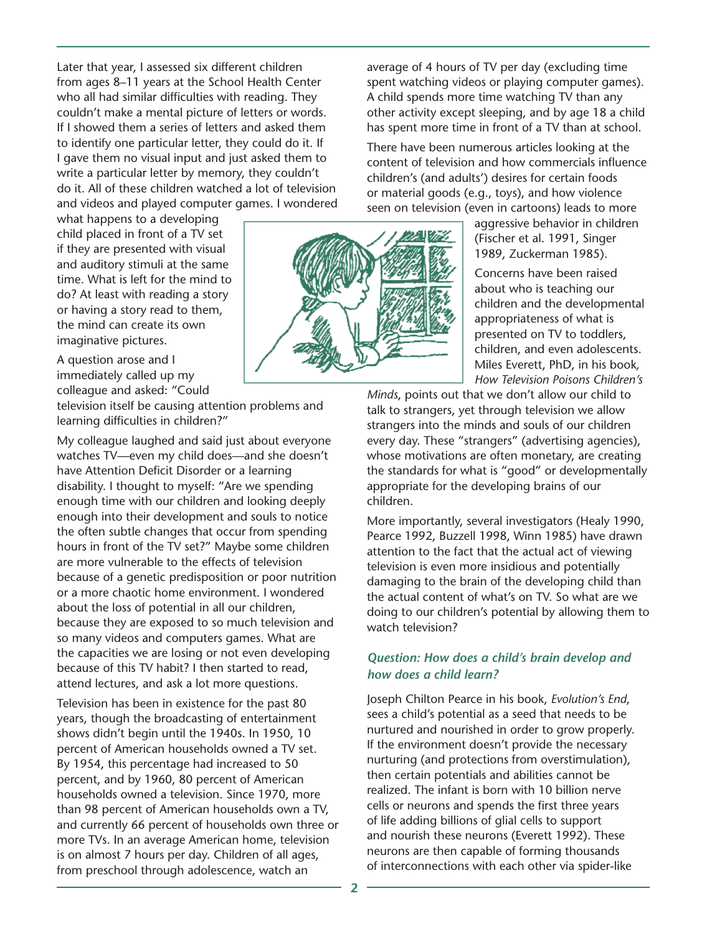Later that year, I assessed six different children from ages 8–11 years at the School Health Center who all had similar difficulties with reading. They couldn't make a mental picture of letters or words. If I showed them a series of letters and asked them to identify one particular letter, they could do it. If I gave them no visual input and just asked them to write a particular letter by memory, they couldn't do it. All of these children watched a lot of television and videos and played computer games. I wondered

what happens to a developing child placed in front of a TV set if they are presented with visual and auditory stimuli at the same time. What is left for the mind to do? At least with reading a story or having a story read to them, the mind can create its own imaginative pictures.

A question arose and I immediately called up my colleague and asked: "Could

television itself be causing attention problems and learning difficulties in children?"

My colleague laughed and said just about everyone watches TV—even my child does—and she doesn't have Attention Deficit Disorder or a learning disability. I thought to myself: "Are we spending enough time with our children and looking deeply enough into their development and souls to notice the often subtle changes that occur from spending hours in front of the TV set?" Maybe some children are more vulnerable to the effects of television because of a genetic predisposition or poor nutrition or a more chaotic home environment. I wondered about the loss of potential in all our children, because they are exposed to so much television and so many videos and computers games. What are the capacities we are losing or not even developing because of this TV habit? I then started to read, attend lectures, and ask a lot more questions.

Television has been in existence for the past 80 years, though the broadcasting of entertainment shows didn't begin until the 1940s. In 1950, 10 percent of American households owned a TV set. By 1954, this percentage had increased to 50 percent, and by 1960, 80 percent of American households owned a television. Since 1970, more than 98 percent of American households own a TV, and currently 66 percent of households own three or more TVs. In an average American home, television is on almost 7 hours per day. Children of all ages, from preschool through adolescence, watch an

average of 4 hours of TV per day (excluding time spent watching videos or playing computer games). A child spends more time watching TV than any other activity except sleeping, and by age 18 a child has spent more time in front of a TV than at school.

There have been numerous articles looking at the content of television and how commercials influence children's (and adults') desires for certain foods or material goods (e.g., toys), and how violence seen on television (even in cartoons) leads to more

> aggressive behavior in children (Fischer et al. 1991, Singer 1989, Zuckerman 1985).

Concerns have been raised about who is teaching our children and the developmental appropriateness of what is presented on TV to toddlers, children, and even adolescents. Miles Everett, PhD, in his book*, How Television Poisons Children's* 

*Minds*, points out that we don't allow our child to talk to strangers, yet through television we allow strangers into the minds and souls of our children every day. These "strangers" (advertising agencies), whose motivations are often monetary, are creating the standards for what is "good" or developmentally appropriate for the developing brains of our children.

More importantly, several investigators (Healy 1990, Pearce 1992, Buzzell 1998, Winn 1985) have drawn attention to the fact that the actual act of viewing television is even more insidious and potentially damaging to the brain of the developing child than the actual content of what's on TV. So what are we doing to our children's potential by allowing them to watch television?

### *Question: How does a child's brain develop and how does a child learn?*

Joseph Chilton Pearce in his book, *Evolution's End*, sees a child's potential as a seed that needs to be nurtured and nourished in order to grow properly. If the environment doesn't provide the necessary nurturing (and protections from overstimulation), then certain potentials and abilities cannot be realized. The infant is born with 10 billion nerve cells or neurons and spends the first three years of life adding billions of glial cells to support and nourish these neurons (Everett 1992). These neurons are then capable of forming thousands of interconnections with each other via spider-like

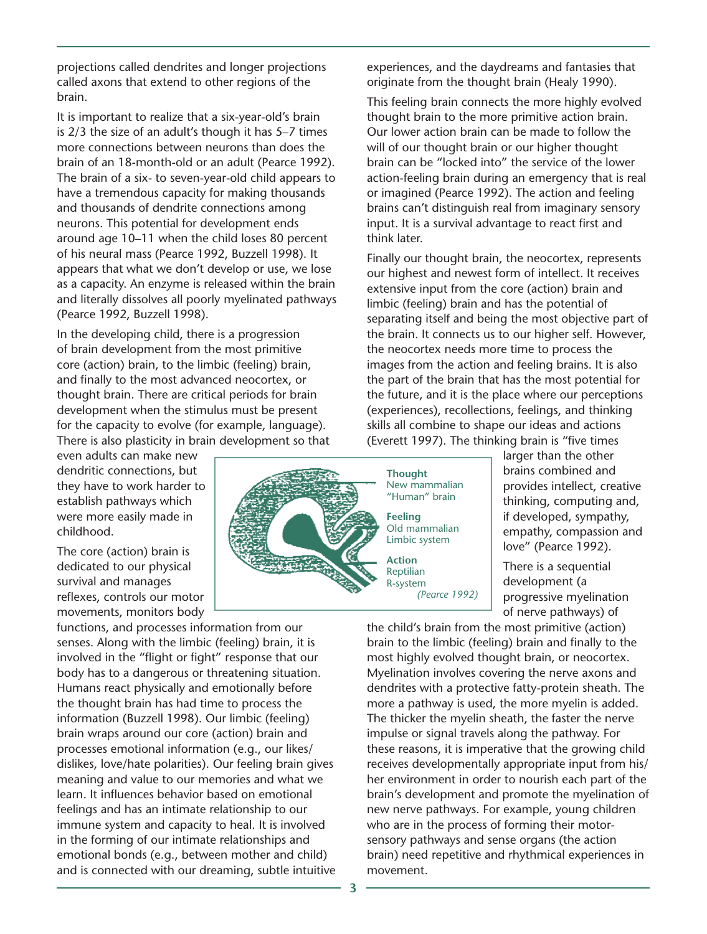projections called dendrites and longer projections called axons that extend to other regions of the brain.

It is important to realize that a six-year-old's brain is 2/3 the size of an adult's though it has 5–7 times more connections between neurons than does the brain of an 18-month-old or an adult (Pearce 1992). The brain of a six- to seven-year-old child appears to have a tremendous capacity for making thousands and thousands of dendrite connections among neurons. This potential for development ends around age 10–11 when the child loses 80 percent of his neural mass (Pearce 1992, Buzzell 1998). It appears that what we don't develop or use, we lose as a capacity. An enzyme is released within the brain and literally dissolves all poorly myelinated pathways (Pearce 1992, Buzzell 1998).

In the developing child, there is a progression of brain development from the most primitive core (action) brain, to the limbic (feeling) brain, and finally to the most advanced neocortex, or thought brain. There are critical periods for brain development when the stimulus must be present for the capacity to evolve (for example, language). There is also plasticity in brain development so that

even adults can make new dendritic connections, but they have to work harder to establish pathways which were more easily made in childhood.

The core (action) brain is dedicated to our physical survival and manages reflexes, controls our motor movements, monitors body

functions, and processes information from our senses. Along with the limbic (feeling) brain, it is involved in the "flight or fight" response that our body has to a dangerous or threatening situation. Humans react physically and emotionally before the thought brain has had time to process the information (Buzzell 1998). Our limbic (feeling) brain wraps around our core (action) brain and processes emotional information (e.g., our likes/ dislikes, love/hate polarities). Our feeling brain gives meaning and value to our memories and what we learn. It influences behavior based on emotional feelings and has an intimate relationship to our immune system and capacity to heal. It is involved in the forming of our intimate relationships and emotional bonds (e.g., between mother and child) and is connected with our dreaming, subtle intuitive



experiences, and the daydreams and fantasies that originate from the thought brain (Healy 1990).

This feeling brain connects the more highly evolved thought brain to the more primitive action brain. Our lower action brain can be made to follow the will of our thought brain or our higher thought brain can be "locked into" the service of the lower action-feeling brain during an emergency that is real or imagined (Pearce 1992). The action and feeling brains can't distinguish real from imaginary sensory input. It is a survival advantage to react first and think later.

Finally our thought brain, the neocortex, represents our highest and newest form of intellect. It receives extensive input from the core (action) brain and limbic (feeling) brain and has the potential of separating itself and being the most objective part of the brain. It connects us to our higher self. However, the neocortex needs more time to process the images from the action and feeling brains. It is also the part of the brain that has the most potential for the future, and it is the place where our perceptions (experiences), recollections, feelings, and thinking skills all combine to shape our ideas and actions (Everett 1997). The thinking brain is "five times

larger than the other brains combined and provides intellect, creative thinking, computing and, if developed, sympathy, empathy, compassion and love" (Pearce 1992).

There is a sequential development (a progressive myelination of nerve pathways) of

the child's brain from the most primitive (action) brain to the limbic (feeling) brain and finally to the most highly evolved thought brain, or neocortex. Myelination involves covering the nerve axons and dendrites with a protective fatty-protein sheath. The more a pathway is used, the more myelin is added. The thicker the myelin sheath, the faster the nerve impulse or signal travels along the pathway. For these reasons, it is imperative that the growing child receives developmentally appropriate input from his/ her environment in order to nourish each part of the brain's development and promote the myelination of new nerve pathways. For example, young children who are in the process of forming their motorsensory pathways and sense organs (the action brain) need repetitive and rhythmical experiences in movement.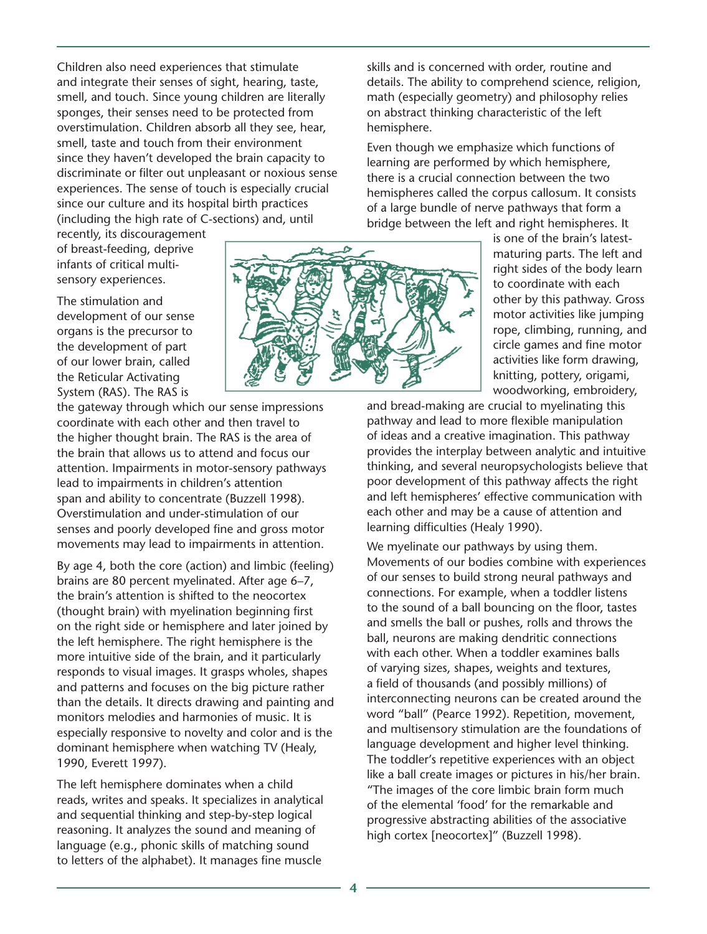Children also need experiences that stimulate and integrate their senses of sight, hearing, taste, smell, and touch. Since young children are literally sponges, their senses need to be protected from overstimulation. Children absorb all they see, hear, smell, taste and touch from their environment since they haven't developed the brain capacity to discriminate or filter out unpleasant or noxious sense experiences. The sense of touch is especially crucial since our culture and its hospital birth practices (including the high rate of C-sections) and, until

recently, its discouragement of breast-feeding, deprive infants of critical multisensory experiences.

The stimulation and development of our sense organs is the precursor to the development of part of our lower brain, called the Reticular Activating System (RAS). The RAS is

the gateway through which our sense impressions coordinate with each other and then travel to the higher thought brain. The RAS is the area of the brain that allows us to attend and focus our attention. Impairments in motor-sensory pathways lead to impairments in children's attention span and ability to concentrate (Buzzell 1998). Overstimulation and under-stimulation of our senses and poorly developed fine and gross motor movements may lead to impairments in attention.

By age 4, both the core (action) and limbic (feeling) brains are 80 percent myelinated. After age 6–7, the brain's attention is shifted to the neocortex (thought brain) with myelination beginning first on the right side or hemisphere and later joined by the left hemisphere. The right hemisphere is the more intuitive side of the brain, and it particularly responds to visual images. It grasps wholes, shapes and patterns and focuses on the big picture rather than the details. It directs drawing and painting and monitors melodies and harmonies of music. It is especially responsive to novelty and color and is the dominant hemisphere when watching TV (Healy, 1990, Everett 1997).

The left hemisphere dominates when a child reads, writes and speaks. It specializes in analytical and sequential thinking and step-by-step logical reasoning. It analyzes the sound and meaning of language (e.g., phonic skills of matching sound to letters of the alphabet). It manages fine muscle

skills and is concerned with order, routine and details. The ability to comprehend science, religion, math (especially geometry) and philosophy relies on abstract thinking characteristic of the left hemisphere.

Even though we emphasize which functions of learning are performed by which hemisphere, there is a crucial connection between the two hemispheres called the corpus callosum. It consists of a large bundle of nerve pathways that form a bridge between the left and right hemispheres. It

is one of the brain's latestmaturing parts. The left and right sides of the body learn to coordinate with each other by this pathway. Gross motor activities like jumping rope, climbing, running, and circle games and fine motor activities like form drawing, knitting, pottery, origami, woodworking, embroidery,

and bread-making are crucial to myelinating this pathway and lead to more flexible manipulation of ideas and a creative imagination. This pathway provides the interplay between analytic and intuitive thinking, and several neuropsychologists believe that poor development of this pathway affects the right and left hemispheres' effective communication with each other and may be a cause of attention and learning difficulties (Healy 1990).

We myelinate our pathways by using them. Movements of our bodies combine with experiences of our senses to build strong neural pathways and connections. For example, when a toddler listens to the sound of a ball bouncing on the floor, tastes and smells the ball or pushes, rolls and throws the ball, neurons are making dendritic connections with each other. When a toddler examines balls of varying sizes, shapes, weights and textures, a field of thousands (and possibly millions) of interconnecting neurons can be created around the word "ball" (Pearce 1992). Repetition, movement, and multisensory stimulation are the foundations of language development and higher level thinking. The toddler's repetitive experiences with an object like a ball create images or pictures in his/her brain. "The images of the core limbic brain form much of the elemental 'food' for the remarkable and progressive abstracting abilities of the associative high cortex [neocortex]" (Buzzell 1998).

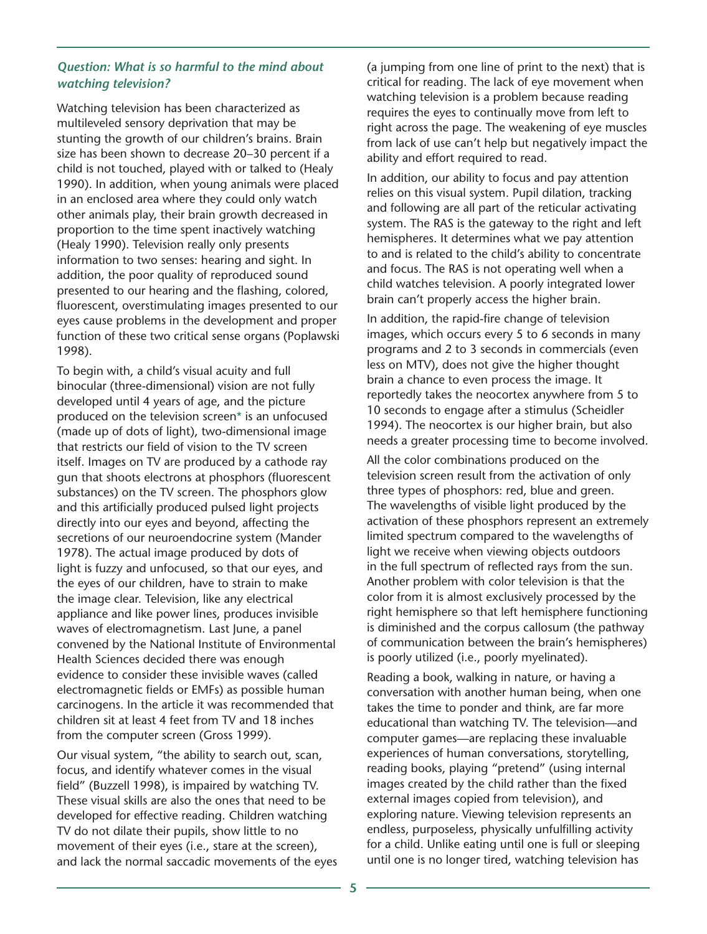## *Question: What is so harmful to the mind about watching television?*

Watching television has been characterized as multileveled sensory deprivation that may be stunting the growth of our children's brains. Brain size has been shown to decrease 20–30 percent if a child is not touched, played with or talked to (Healy 1990). In addition, when young animals were placed in an enclosed area where they could only watch other animals play, their brain growth decreased in proportion to the time spent inactively watching (Healy 1990). Television really only presents information to two senses: hearing and sight. In addition, the poor quality of reproduced sound presented to our hearing and the flashing, colored, fluorescent, overstimulating images presented to our eyes cause problems in the development and proper function of these two critical sense organs (Poplawski 1998).

To begin with, a child's visual acuity and full binocular (three-dimensional) vision are not fully developed until 4 years of age, and the picture produced on the television screen\* is an unfocused (made up of dots of light), two-dimensional image that restricts our field of vision to the TV screen itself. Images on TV are produced by a cathode ray gun that shoots electrons at phosphors (fluorescent substances) on the TV screen. The phosphors glow and this artificially produced pulsed light projects directly into our eyes and beyond, affecting the secretions of our neuroendocrine system (Mander 1978). The actual image produced by dots of light is fuzzy and unfocused, so that our eyes, and the eyes of our children, have to strain to make the image clear. Television, like any electrical appliance and like power lines, produces invisible waves of electromagnetism. Last June, a panel convened by the National Institute of Environmental Health Sciences decided there was enough evidence to consider these invisible waves (called electromagnetic fields or EMFs) as possible human carcinogens. In the article it was recommended that children sit at least 4 feet from TV and 18 inches from the computer screen (Gross 1999).

Our visual system, "the ability to search out, scan, focus, and identify whatever comes in the visual field" (Buzzell 1998), is impaired by watching TV. These visual skills are also the ones that need to be developed for effective reading. Children watching TV do not dilate their pupils, show little to no movement of their eyes (i.e., stare at the screen), and lack the normal saccadic movements of the eyes

(a jumping from one line of print to the next) that is critical for reading. The lack of eye movement when watching television is a problem because reading requires the eyes to continually move from left to right across the page. The weakening of eye muscles from lack of use can't help but negatively impact the ability and effort required to read.

In addition, our ability to focus and pay attention relies on this visual system. Pupil dilation, tracking and following are all part of the reticular activating system. The RAS is the gateway to the right and left hemispheres. It determines what we pay attention to and is related to the child's ability to concentrate and focus. The RAS is not operating well when a child watches television. A poorly integrated lower brain can't properly access the higher brain.

In addition, the rapid-fire change of television images, which occurs every 5 to 6 seconds in many programs and 2 to 3 seconds in commercials (even less on MTV), does not give the higher thought brain a chance to even process the image. It reportedly takes the neocortex anywhere from 5 to 10 seconds to engage after a stimulus (Scheidler 1994). The neocortex is our higher brain, but also needs a greater processing time to become involved.

All the color combinations produced on the television screen result from the activation of only three types of phosphors: red, blue and green. The wavelengths of visible light produced by the activation of these phosphors represent an extremely limited spectrum compared to the wavelengths of light we receive when viewing objects outdoors in the full spectrum of reflected rays from the sun. Another problem with color television is that the color from it is almost exclusively processed by the right hemisphere so that left hemisphere functioning is diminished and the corpus callosum (the pathway of communication between the brain's hemispheres) is poorly utilized (i.e., poorly myelinated).

Reading a book, walking in nature, or having a conversation with another human being, when one takes the time to ponder and think, are far more educational than watching TV. The television—and computer games—are replacing these invaluable experiences of human conversations, storytelling, reading books, playing "pretend" (using internal images created by the child rather than the fixed external images copied from television), and exploring nature. Viewing television represents an endless, purposeless, physically unfulfilling activity for a child. Unlike eating until one is full or sleeping until one is no longer tired, watching television has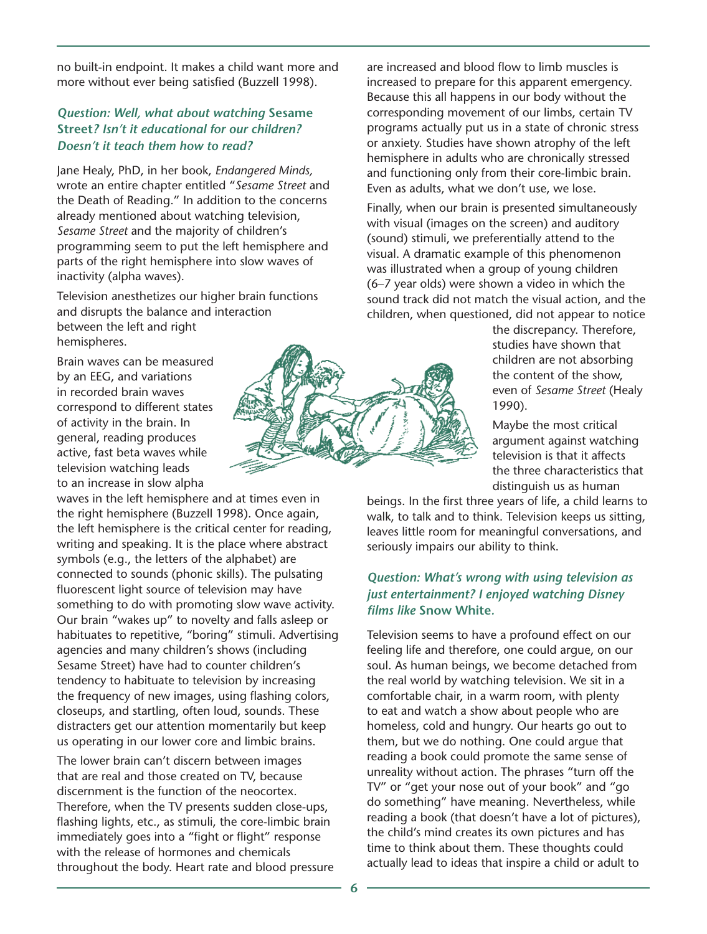no built-in endpoint. It makes a child want more and more without ever being satisfied (Buzzell 1998).

### *Question: Well, what about watching* **Sesame Street***? Isn't it educational for our children? Doesn't it teach them how to read?*

Jane Healy, PhD, in her book, *Endangered Minds,* wrote an entire chapter entitled "*Sesame Street* and the Death of Reading." In addition to the concerns already mentioned about watching television, *Sesame Street* and the majority of children's programming seem to put the left hemisphere and parts of the right hemisphere into slow waves of inactivity (alpha waves).

Television anesthetizes our higher brain functions and disrupts the balance and interaction between the left and right hemispheres.

Brain waves can be measured by an EEG, and variations in recorded brain waves correspond to different states of activity in the brain. In general, reading produces active, fast beta waves while television watching leads to an increase in slow alpha

waves in the left hemisphere and at times even in the right hemisphere (Buzzell 1998). Once again, the left hemisphere is the critical center for reading, writing and speaking. It is the place where abstract symbols (e.g., the letters of the alphabet) are connected to sounds (phonic skills). The pulsating fluorescent light source of television may have something to do with promoting slow wave activity. Our brain "wakes up" to novelty and falls asleep or habituates to repetitive, "boring" stimuli. Advertising agencies and many children's shows (including Sesame Street) have had to counter children's tendency to habituate to television by increasing the frequency of new images, using flashing colors, closeups, and startling, often loud, sounds. These distracters get our attention momentarily but keep us operating in our lower core and limbic brains.

The lower brain can't discern between images that are real and those created on TV, because discernment is the function of the neocortex. Therefore, when the TV presents sudden close-ups, flashing lights, etc., as stimuli, the core-limbic brain immediately goes into a "fight or flight" response with the release of hormones and chemicals throughout the body. Heart rate and blood pressure are increased and blood flow to limb muscles is increased to prepare for this apparent emergency. Because this all happens in our body without the corresponding movement of our limbs, certain TV programs actually put us in a state of chronic stress or anxiety. Studies have shown atrophy of the left hemisphere in adults who are chronically stressed and functioning only from their core-limbic brain. Even as adults, what we don't use, we lose.

Finally, when our brain is presented simultaneously with visual (images on the screen) and auditory (sound) stimuli, we preferentially attend to the visual. A dramatic example of this phenomenon was illustrated when a group of young children (6–7 year olds) were shown a video in which the sound track did not match the visual action, and the children, when questioned, did not appear to notice

> the discrepancy. Therefore, studies have shown that children are not absorbing the content of the show, even of *Sesame Street* (Healy 1990).

> Maybe the most critical argument against watching television is that it affects the three characteristics that distinguish us as human

beings. In the first three years of life, a child learns to walk, to talk and to think. Television keeps us sitting, leaves little room for meaningful conversations, and seriously impairs our ability to think.

## *Question: What's wrong with using television as just entertainment? I enjoyed watching Disney films like* **Snow White***.*

Television seems to have a profound effect on our feeling life and therefore, one could argue, on our soul. As human beings, we become detached from the real world by watching television. We sit in a comfortable chair, in a warm room, with plenty to eat and watch a show about people who are homeless, cold and hungry. Our hearts go out to them, but we do nothing. One could argue that reading a book could promote the same sense of unreality without action. The phrases "turn off the TV" or "get your nose out of your book" and "go do something" have meaning. Nevertheless, while reading a book (that doesn't have a lot of pictures), the child's mind creates its own pictures and has time to think about them. These thoughts could actually lead to ideas that inspire a child or adult to

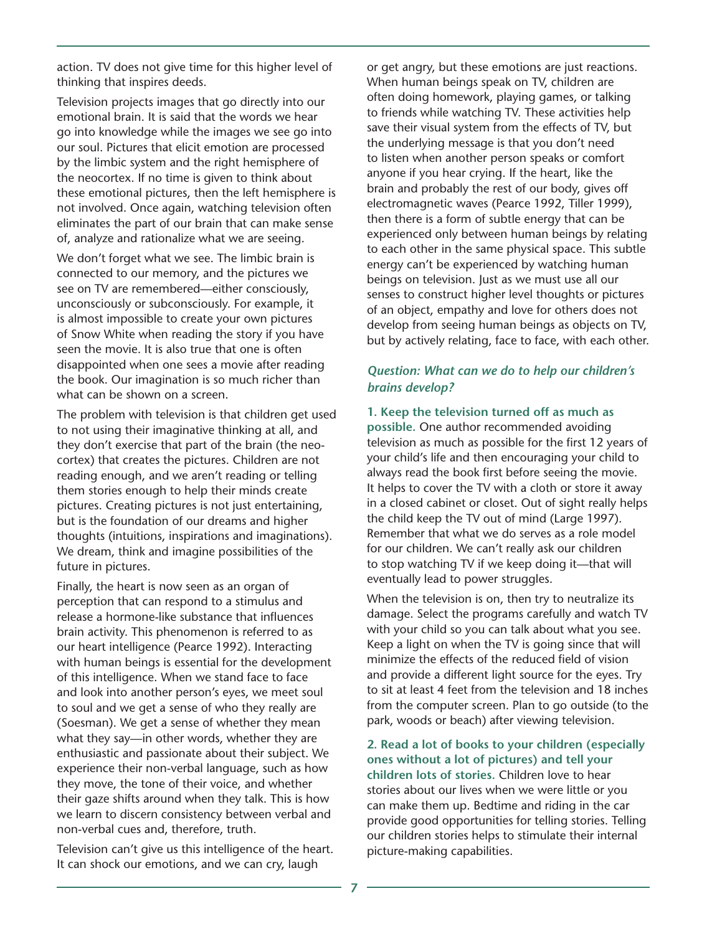action. TV does not give time for this higher level of thinking that inspires deeds.

Television projects images that go directly into our emotional brain. It is said that the words we hear go into knowledge while the images we see go into our soul. Pictures that elicit emotion are processed by the limbic system and the right hemisphere of the neocortex. If no time is given to think about these emotional pictures, then the left hemisphere is not involved. Once again, watching television often eliminates the part of our brain that can make sense of, analyze and rationalize what we are seeing.

We don't forget what we see. The limbic brain is connected to our memory, and the pictures we see on TV are remembered—either consciously, unconsciously or subconsciously. For example, it is almost impossible to create your own pictures of Snow White when reading the story if you have seen the movie. It is also true that one is often disappointed when one sees a movie after reading the book. Our imagination is so much richer than what can be shown on a screen.

The problem with television is that children get used to not using their imaginative thinking at all, and they don't exercise that part of the brain (the neocortex) that creates the pictures. Children are not reading enough, and we aren't reading or telling them stories enough to help their minds create pictures. Creating pictures is not just entertaining, but is the foundation of our dreams and higher thoughts (intuitions, inspirations and imaginations). We dream, think and imagine possibilities of the future in pictures.

Finally, the heart is now seen as an organ of perception that can respond to a stimulus and release a hormone-like substance that influences brain activity. This phenomenon is referred to as our heart intelligence (Pearce 1992). Interacting with human beings is essential for the development of this intelligence. When we stand face to face and look into another person's eyes, we meet soul to soul and we get a sense of who they really are (Soesman). We get a sense of whether they mean what they say—in other words, whether they are enthusiastic and passionate about their subject. We experience their non-verbal language, such as how they move, the tone of their voice, and whether their gaze shifts around when they talk. This is how we learn to discern consistency between verbal and non-verbal cues and, therefore, truth.

Television can't give us this intelligence of the heart. It can shock our emotions, and we can cry, laugh

or get angry, but these emotions are just reactions. When human beings speak on TV, children are often doing homework, playing games, or talking to friends while watching TV. These activities help save their visual system from the effects of TV, but the underlying message is that you don't need to listen when another person speaks or comfort anyone if you hear crying. If the heart, like the brain and probably the rest of our body, gives off electromagnetic waves (Pearce 1992, Tiller 1999), then there is a form of subtle energy that can be experienced only between human beings by relating to each other in the same physical space. This subtle energy can't be experienced by watching human beings on television. Just as we must use all our senses to construct higher level thoughts or pictures of an object, empathy and love for others does not develop from seeing human beings as objects on TV, but by actively relating, face to face, with each other.

# *Question: What can we do to help our children's brains develop?*

**1. Keep the television turned off as much as possible.** One author recommended avoiding television as much as possible for the first 12 years of your child's life and then encouraging your child to always read the book first before seeing the movie. It helps to cover the TV with a cloth or store it away in a closed cabinet or closet. Out of sight really helps the child keep the TV out of mind (Large 1997). Remember that what we do serves as a role model for our children. We can't really ask our children to stop watching TV if we keep doing it—that will eventually lead to power struggles.

When the television is on, then try to neutralize its damage. Select the programs carefully and watch TV with your child so you can talk about what you see. Keep a light on when the TV is going since that will minimize the effects of the reduced field of vision and provide a different light source for the eyes. Try to sit at least 4 feet from the television and 18 inches from the computer screen. Plan to go outside (to the park, woods or beach) after viewing television.

**2. Read a lot of books to your children (especially ones without a lot of pictures) and tell your children lots of stories.** Children love to hear stories about our lives when we were little or you can make them up. Bedtime and riding in the car provide good opportunities for telling stories. Telling our children stories helps to stimulate their internal picture-making capabilities.